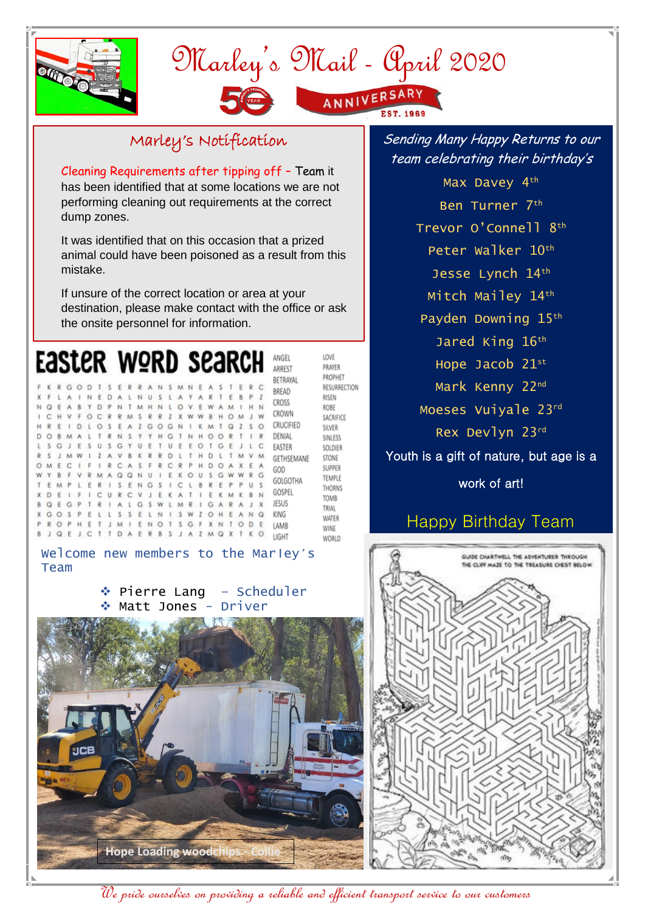

## Marley's Mail - April 2020 ANNIVERSARY

## Marley's Notification

Cleaning Requirements after tipping off – Team it has been identified that at some locations we are not performing cleaning out requirements at the correct dump zones.

It was identified that on this occasion that a prized animal could have been poisoned as a result from this mistake.

If unsure of the correct location or area at your destination, please make contact with the office or ask the onsite personnel for information.

Y

 $\mathbf{r}$ 

 $K$   $Q$   $U$ 

 $\tilde{R}$ 

E

L M

ELLSSELNISWZOHEANQ

 $H$  $\ddot{D}$ 

O V

Z X W

ARTE

EWAM

HOOR

ï T M

HDOAX

GAR

 $\mathbf{S}$ 

W B H O M J W

KMTQZSO

 $\tau$  $1 - P$ 

G W W R G

F A

 $\mathbf{x}$ J.

 $1$  H



2 G O G N

INEDALNUSLA

YDPNTMHNL

A

Q Q N U I

NG<sub>S</sub>  $\ddot{\phantom{1}}$  $\epsilon$ п. **B** œ P  $P$   $II$  5

G S W

OPHETJMIENOTSGFXNTODE

Q E J C T T D A E R B S J A Z M Q X T K O

OCRRMSRR

OSEA

G  $\mathbf{u}$ 

V K  $\mathbf R$  $\tilde{\mathbf{z}}$  $\overline{D}$ 

 $\mathbf{R}$  $\ddot{c}$  $\overline{\mathbf{s}}$ F  $\overline{\mathbb{R}}$  $C R$ 

CUR C  $\ddot{v}$  $\rightarrow$  $E$ ĸ

R<sub>MA</sub>

 $\mathbb{R}$ 

F.  $\mathbb{R}$ H.  $S$  E

 $\mathbf{I}$  $\overline{1}$  $A$   $L$ 

 $\mathbf{1}$  $\mathbf{A}$ 

 $\mathbbm{E}$ 

 $\ddot{c}$ 

**D** 

s  $\mathcal{C}_{i}$ J. F s  $\mathbf{u}$ s **Y** F  $\mathbb T$ Ü £ E  $\circ$  $\mathbf{I}$ G Æ  $\perp$  $\mathsf{L}$ C EASTER

š

 $M$ F

F

 $\Omega$ £

 $\circ$ Ġ

D  $\sim$ **in** A4 ÷.  $\mathbf{r}$ ٠ö, N<sub>S</sub>  $\mathbf{v}$  $\mathbf{v}$  $H$   $G$  $\tau$ M.

 $\overline{c}$ 

w  $\theta$ 

B E

 $\bf x$ 

p  $\overline{R}$   $\lambda$  $\overline{B}$ 

 $\epsilon$ 

GOSP

F.

 $D$ S£.

LOVE PRAYER PROPHET RESURRECTION RISEN ROBE SACRIFICE SILVER SINLESS SOLDIER GETHSEMANE STONE SUPPER TEMPLE THORNS TOMB TRIAL WATER WINE WORLD

**BREAD** 

CROSS

CROWN

DENIAL

GOD

GOLGOTHA

GOSPEL

JESUS

KING

LAMB

LIGHT

CRUCIFIED

Welcome new members to the Marley's Team

> ◆ Pierre Lang – Scheduler Matt Jones - Driver



Sending Many Happy Returns to our team celebrating their birthday's

Max Davey 4<sup>th</sup> Ben Turner 7th Trevor O'Connell 8th Peter Walker 10th Jesse Lynch 14th Mitch Mailey 14th Payden Downing 15th Jared King 16th Hope Jacob 21st Mark Kenny 22nd Moeses Vuiyale 23rd Rex Devlyn 23rd Youth is a gift of nature, but age is a work of art!

## Happy Birthday Team



We pride ourselves on providing a reliable and efficient transport service to our customers